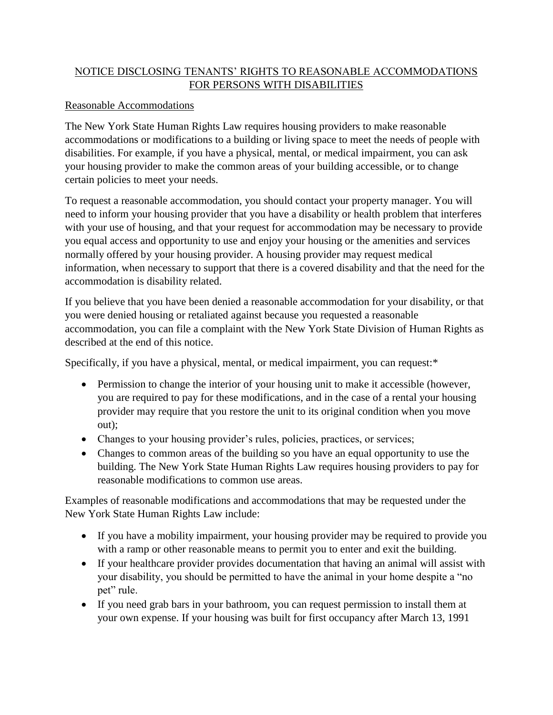## NOTICE DISCLOSING TENANTS' RIGHTS TO REASONABLE ACCOMMODATIONS FOR PERSONS WITH DISABILITIES

## Reasonable Accommodations

The New York State Human Rights Law requires housing providers to make reasonable accommodations or modifications to a building or living space to meet the needs of people with disabilities. For example, if you have a physical, mental, or medical impairment, you can ask your housing provider to make the common areas of your building accessible, or to change certain policies to meet your needs.

To request a reasonable accommodation, you should contact your property manager. You will need to inform your housing provider that you have a disability or health problem that interferes with your use of housing, and that your request for accommodation may be necessary to provide you equal access and opportunity to use and enjoy your housing or the amenities and services normally offered by your housing provider. A housing provider may request medical information, when necessary to support that there is a covered disability and that the need for the accommodation is disability related.

If you believe that you have been denied a reasonable accommodation for your disability, or that you were denied housing or retaliated against because you requested a reasonable accommodation, you can file a complaint with the New York State Division of Human Rights as described at the end of this notice.

Specifically, if you have a physical, mental, or medical impairment, you can request:\*

- Permission to change the interior of your housing unit to make it accessible (however, you are required to pay for these modifications, and in the case of a rental your housing provider may require that you restore the unit to its original condition when you move out);
- Changes to your housing provider's rules, policies, practices, or services;
- Changes to common areas of the building so you have an equal opportunity to use the building. The New York State Human Rights Law requires housing providers to pay for reasonable modifications to common use areas.

Examples of reasonable modifications and accommodations that may be requested under the New York State Human Rights Law include:

- If you have a mobility impairment, your housing provider may be required to provide you with a ramp or other reasonable means to permit you to enter and exit the building.
- If your healthcare provider provides documentation that having an animal will assist with your disability, you should be permitted to have the animal in your home despite a "no pet" rule.
- If you need grab bars in your bathroom, you can request permission to install them at your own expense. If your housing was built for first occupancy after March 13, 1991